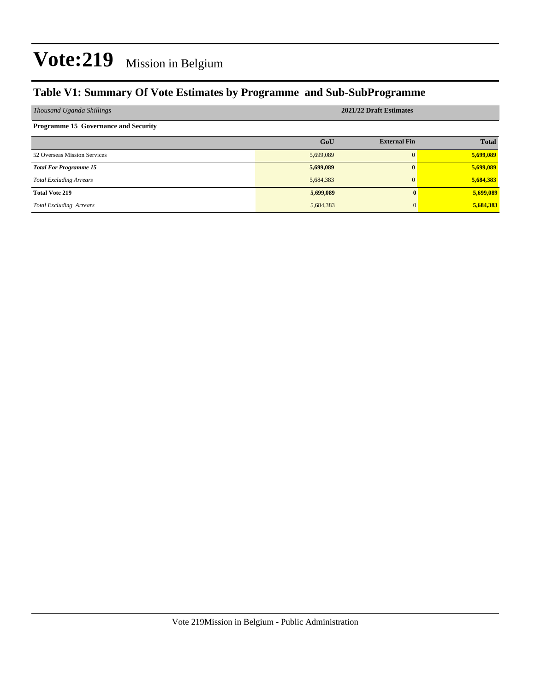#### **Table V1: Summary Of Vote Estimates by Programme and Sub-SubProgramme**

| Thousand Uganda Shillings                   | 2021/22 Draft Estimates |                     |              |  |  |  |
|---------------------------------------------|-------------------------|---------------------|--------------|--|--|--|
| <b>Programme 15 Governance and Security</b> |                         |                     |              |  |  |  |
|                                             | GoU                     | <b>External Fin</b> | <b>Total</b> |  |  |  |
| 52 Overseas Mission Services                | 5,699,089               | $\Omega$            | 5,699,089    |  |  |  |
| <b>Total For Programme 15</b>               | 5,699,089               | $\mathbf{0}$        | 5,699,089    |  |  |  |
| <b>Total Excluding Arrears</b>              | 5,684,383               | $\Omega$            | 5,684,383    |  |  |  |
| <b>Total Vote 219</b>                       | 5,699,089               |                     | 5,699,089    |  |  |  |
| <b>Total Excluding Arrears</b>              | 5,684,383               |                     | 5,684,383    |  |  |  |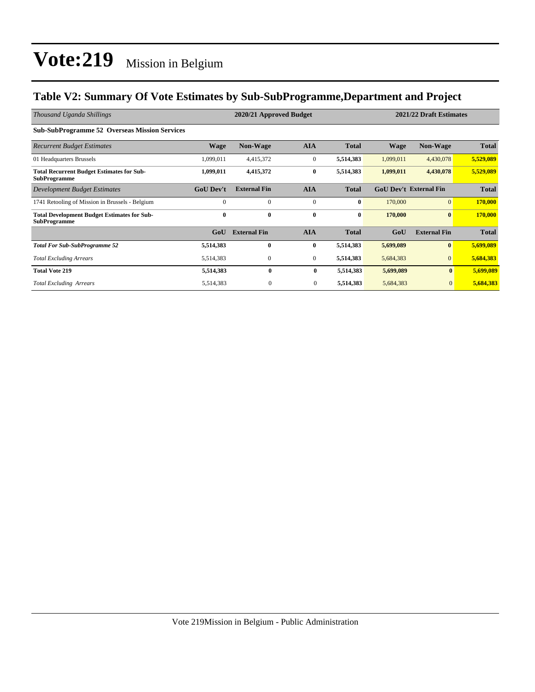#### **Table V2: Summary Of Vote Estimates by Sub-SubProgramme,Department and Project**

| Thousand Uganda Shillings                                                 | 2020/21 Approved Budget |                     |              |              |             | 2021/22 Draft Estimates       |              |  |
|---------------------------------------------------------------------------|-------------------------|---------------------|--------------|--------------|-------------|-------------------------------|--------------|--|
| <b>Sub-SubProgramme 52 Overseas Mission Services</b>                      |                         |                     |              |              |             |                               |              |  |
| <b>Recurrent Budget Estimates</b>                                         | <b>Wage</b>             | <b>Non-Wage</b>     | <b>AIA</b>   | <b>Total</b> | <b>Wage</b> | <b>Non-Wage</b>               | <b>Total</b> |  |
| 01 Headquarters Brussels                                                  | 1,099,011               | 4,415,372           | $\mathbf{0}$ | 5,514,383    | 1,099,011   | 4,430,078                     | 5,529,089    |  |
| <b>Total Recurrent Budget Estimates for Sub-</b><br><b>SubProgramme</b>   | 1,099,011               | 4,415,372           | $\bf{0}$     | 5,514,383    | 1,099,011   | 4,430,078                     | 5,529,089    |  |
| Development Budget Estimates                                              | <b>GoU Dev't</b>        | <b>External Fin</b> | <b>AIA</b>   | <b>Total</b> |             | <b>GoU Dev't External Fin</b> | <b>Total</b> |  |
| 1741 Retooling of Mission in Brussels - Belgium                           | $\Omega$                | $\Omega$            | $\mathbf{0}$ | $\bf{0}$     | 170,000     | $\overline{0}$                | 170,000      |  |
| <b>Total Development Budget Estimates for Sub-</b><br><b>SubProgramme</b> | 0                       | $\bf{0}$            | $\bf{0}$     | $\bf{0}$     | 170,000     | $\bf{0}$                      | 170,000      |  |
|                                                                           | GoU                     | <b>External Fin</b> | <b>AIA</b>   | <b>Total</b> | GoU         | <b>External Fin</b>           | <b>Total</b> |  |
| <b>Total For Sub-SubProgramme 52</b>                                      | 5,514,383               | $\mathbf{0}$        | $\bf{0}$     | 5,514,383    | 5,699,089   | $\mathbf{0}$                  | 5,699,089    |  |
| <b>Total Excluding Arrears</b>                                            | 5,514,383               | $\mathbf{0}$        | $\mathbf{0}$ | 5,514,383    | 5,684,383   | $\mathbf{0}$                  | 5,684,383    |  |
| <b>Total Vote 219</b>                                                     | 5,514,383               | $\mathbf{0}$        | $\bf{0}$     | 5,514,383    | 5,699,089   | $\mathbf{0}$                  | 5,699,089    |  |
| <b>Total Excluding Arrears</b>                                            | 5,514,383               | $\boldsymbol{0}$    | $\mathbf{0}$ | 5,514,383    | 5,684,383   | $\mathbf{0}$                  | 5,684,383    |  |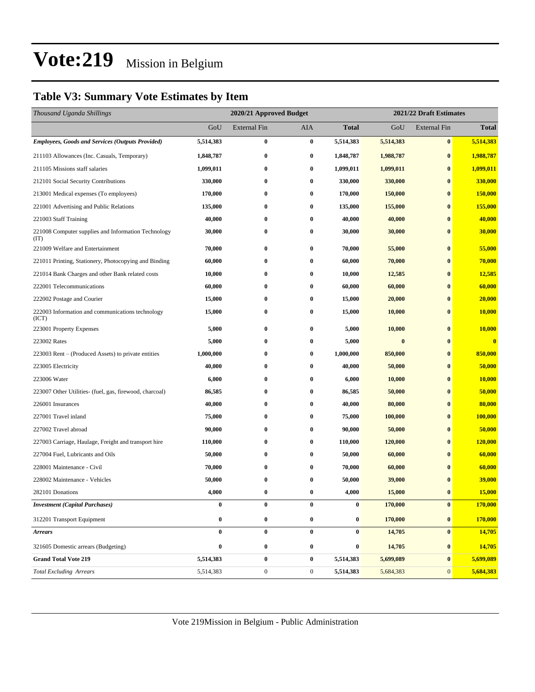#### **Table V3: Summary Vote Estimates by Item**

| Thousand Uganda Shillings                                   | 2020/21 Approved Budget |                     |                  |              | 2021/22 Draft Estimates |                     |              |  |
|-------------------------------------------------------------|-------------------------|---------------------|------------------|--------------|-------------------------|---------------------|--------------|--|
|                                                             | GoU                     | <b>External Fin</b> | <b>AIA</b>       | <b>Total</b> | GoU                     | <b>External Fin</b> | <b>Total</b> |  |
| <b>Employees, Goods and Services (Outputs Provided)</b>     | 5,514,383               | $\bf{0}$            | $\pmb{0}$        | 5,514,383    | 5,514,383               | $\bf{0}$            | 5,514,383    |  |
| 211103 Allowances (Inc. Casuals, Temporary)                 | 1,848,787               | $\bf{0}$            | $\bf{0}$         | 1,848,787    | 1,988,787               | $\bf{0}$            | 1,988,787    |  |
| 211105 Missions staff salaries                              | 1,099,011               | $\bf{0}$            | $\bf{0}$         | 1,099,011    | 1,099,011               | $\bf{0}$            | 1,099,011    |  |
| 212101 Social Security Contributions                        | 330,000                 | $\bf{0}$            | $\bf{0}$         | 330,000      | 330,000                 | $\bf{0}$            | 330,000      |  |
| 213001 Medical expenses (To employees)                      | 170,000                 | $\bf{0}$            | $\bf{0}$         | 170,000      | 150,000                 | $\bf{0}$            | 150,000      |  |
| 221001 Advertising and Public Relations                     | 135,000                 | $\bf{0}$            | $\bf{0}$         | 135,000      | 155,000                 | $\bf{0}$            | 155,000      |  |
| 221003 Staff Training                                       | 40,000                  | $\bf{0}$            | 0                | 40,000       | 40,000                  | $\bf{0}$            | 40,000       |  |
| 221008 Computer supplies and Information Technology<br>(TT) | 30,000                  | $\bf{0}$            | 0                | 30,000       | 30,000                  | $\bf{0}$            | 30,000       |  |
| 221009 Welfare and Entertainment                            | 70,000                  | $\bf{0}$            | $\bf{0}$         | 70,000       | 55,000                  | $\bf{0}$            | 55,000       |  |
| 221011 Printing, Stationery, Photocopying and Binding       | 60,000                  | $\bf{0}$            | $\bf{0}$         | 60,000       | 70,000                  | $\bf{0}$            | 70,000       |  |
| 221014 Bank Charges and other Bank related costs            | 10,000                  | $\bf{0}$            | $\bf{0}$         | 10,000       | 12,585                  | $\bf{0}$            | 12,585       |  |
| 222001 Telecommunications                                   | 60,000                  | $\bf{0}$            | 0                | 60,000       | 60,000                  | $\bf{0}$            | 60,000       |  |
| 222002 Postage and Courier                                  | 15,000                  | $\bf{0}$            | $\bf{0}$         | 15,000       | 20,000                  | $\bf{0}$            | 20,000       |  |
| 222003 Information and communications technology<br>(ICT)   | 15,000                  | $\bf{0}$            | $\bf{0}$         | 15,000       | 10,000                  | $\bf{0}$            | 10,000       |  |
| 223001 Property Expenses                                    | 5,000                   | $\bf{0}$            | $\bf{0}$         | 5,000        | 10,000                  | $\bf{0}$            | 10,000       |  |
| 223002 Rates                                                | 5,000                   | $\bf{0}$            | 0                | 5,000        | $\bf{0}$                | $\bf{0}$            | $\bf{0}$     |  |
| 223003 Rent – (Produced Assets) to private entities         | 1,000,000               | $\bf{0}$            | $\bf{0}$         | 1,000,000    | 850,000                 | $\bf{0}$            | 850,000      |  |
| 223005 Electricity                                          | 40,000                  | $\bf{0}$            | 0                | 40,000       | 50,000                  | $\bf{0}$            | 50,000       |  |
| 223006 Water                                                | 6,000                   | $\bf{0}$            | $\bf{0}$         | 6,000        | 10,000                  | $\bf{0}$            | 10,000       |  |
| 223007 Other Utilities- (fuel, gas, firewood, charcoal)     | 86,585                  | $\bf{0}$            | $\bf{0}$         | 86,585       | 50,000                  | $\bf{0}$            | 50,000       |  |
| 226001 Insurances                                           | 40,000                  | $\bf{0}$            | 0                | 40,000       | 80,000                  | $\bf{0}$            | 80,000       |  |
| 227001 Travel inland                                        | 75,000                  | $\bf{0}$            | $\bf{0}$         | 75,000       | 100,000                 | $\bf{0}$            | 100,000      |  |
| 227002 Travel abroad                                        | 90,000                  | $\bf{0}$            | 0                | 90,000       | 50,000                  | $\bf{0}$            | 50,000       |  |
| 227003 Carriage, Haulage, Freight and transport hire        | 110,000                 | $\bf{0}$            | $\boldsymbol{0}$ | 110,000      | 120,000                 | $\bf{0}$            | 120,000      |  |
| 227004 Fuel, Lubricants and Oils                            | 50,000                  | $\bf{0}$            | $\bf{0}$         | 50,000       | 60,000                  | $\bf{0}$            | 60,000       |  |
| 228001 Maintenance - Civil                                  | 70,000                  | $\bf{0}$            | 0                | 70,000       | 60,000                  | $\bf{0}$            | 60,000       |  |
| 228002 Maintenance - Vehicles                               | 50,000                  | $\bf{0}$            | $\bf{0}$         | 50,000       | 39,000                  | $\bf{0}$            | 39,000       |  |
| 282101 Donations                                            | 4,000                   | $\bf{0}$            | 0                | 4,000        | 15,000                  | $\bf{0}$            | 15,000       |  |
| <b>Investment</b> (Capital Purchases)                       | 0                       | $\bf{0}$            | $\bf{0}$         | $\bf{0}$     | 170,000                 | $\bf{0}$            | 170,000      |  |
| 312201 Transport Equipment                                  | $\boldsymbol{0}$        | $\bf{0}$            | $\pmb{0}$        | $\pmb{0}$    | 170,000                 | $\bf{0}$            | 170,000      |  |
| <b>Arrears</b>                                              | $\bf{0}$                | $\bf{0}$            | $\pmb{0}$        | $\bf{0}$     | 14,705                  | $\bf{0}$            | 14,705       |  |
| 321605 Domestic arrears (Budgeting)                         | $\boldsymbol{0}$        | $\bf{0}$            | $\pmb{0}$        | $\bf{0}$     | 14,705                  | $\bf{0}$            | 14,705       |  |
| <b>Grand Total Vote 219</b>                                 | 5,514,383               | $\bf{0}$            | $\bf{0}$         | 5,514,383    | 5,699,089               | $\bf{0}$            | 5,699,089    |  |
| <b>Total Excluding Arrears</b>                              | 5,514,383               | $\boldsymbol{0}$    | $\mathbf{0}$     | 5,514,383    | 5,684,383               | $\mathbf{0}$        | 5,684,383    |  |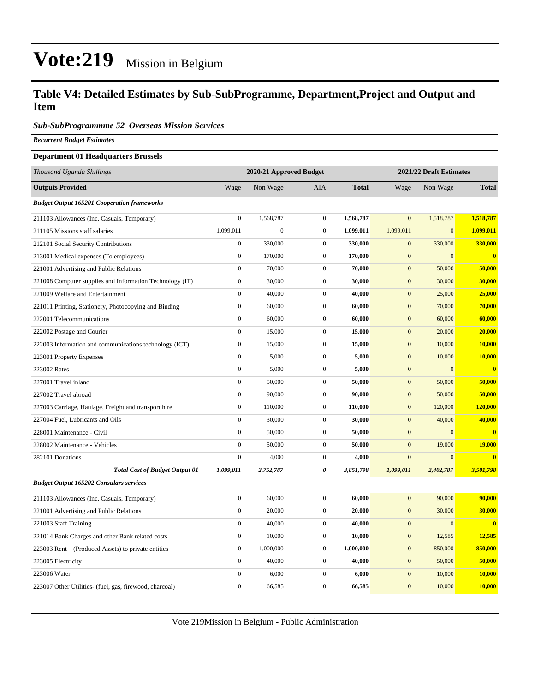#### **Table V4: Detailed Estimates by Sub-SubProgramme, Department,Project and Output and Item**

*Sub-SubProgrammme 52 Overseas Mission Services*

*Recurrent Budget Estimates*

#### **Department 01 Headquarters Brussels**

| Thousand Uganda Shillings                                | 2020/21 Approved Budget |                  |                  |              |                  | 2021/22 Draft Estimates |              |  |
|----------------------------------------------------------|-------------------------|------------------|------------------|--------------|------------------|-------------------------|--------------|--|
| <b>Outputs Provided</b>                                  | Wage                    | Non Wage         | AIA              | <b>Total</b> | Wage             | Non Wage                | <b>Total</b> |  |
| <b>Budget Output 165201 Cooperation frameworks</b>       |                         |                  |                  |              |                  |                         |              |  |
| 211103 Allowances (Inc. Casuals, Temporary)              | $\overline{0}$          | 1,568,787        | $\boldsymbol{0}$ | 1,568,787    | $\overline{0}$   | 1,518,787               | 1,518,787    |  |
| 211105 Missions staff salaries                           | 1,099,011               | $\boldsymbol{0}$ | $\boldsymbol{0}$ | 1,099,011    | 1,099,011        | $\mathbf{0}$            | 1,099,011    |  |
| 212101 Social Security Contributions                     | $\boldsymbol{0}$        | 330,000          | $\mathbf{0}$     | 330,000      | $\boldsymbol{0}$ | 330,000                 | 330,000      |  |
| 213001 Medical expenses (To employees)                   | $\boldsymbol{0}$        | 170,000          | $\boldsymbol{0}$ | 170,000      | $\mathbf{0}$     | $\overline{0}$          | $\bf{0}$     |  |
| 221001 Advertising and Public Relations                  | $\boldsymbol{0}$        | 70,000           | $\boldsymbol{0}$ | 70,000       | $\mathbf{0}$     | 50,000                  | 50,000       |  |
| 221008 Computer supplies and Information Technology (IT) | $\boldsymbol{0}$        | 30,000           | $\boldsymbol{0}$ | 30,000       | $\boldsymbol{0}$ | 30,000                  | 30,000       |  |
| 221009 Welfare and Entertainment                         | $\boldsymbol{0}$        | 40,000           | $\mathbf{0}$     | 40,000       | $\mathbf{0}$     | 25,000                  | 25,000       |  |
| 221011 Printing, Stationery, Photocopying and Binding    | $\boldsymbol{0}$        | 60,000           | $\mathbf{0}$     | 60,000       | $\mathbf{0}$     | 70,000                  | 70,000       |  |
| 222001 Telecommunications                                | $\overline{0}$          | 60,000           | $\boldsymbol{0}$ | 60,000       | $\mathbf{0}$     | 60,000                  | 60,000       |  |
| 222002 Postage and Courier                               | $\overline{0}$          | 15,000           | $\boldsymbol{0}$ | 15,000       | $\boldsymbol{0}$ | 20,000                  | 20,000       |  |
| 222003 Information and communications technology (ICT)   | $\boldsymbol{0}$        | 15,000           | $\boldsymbol{0}$ | 15,000       | $\mathbf{0}$     | 10,000                  | 10,000       |  |
| 223001 Property Expenses                                 | $\boldsymbol{0}$        | 5,000            | $\mathbf{0}$     | 5,000        | $\mathbf{0}$     | 10,000                  | 10,000       |  |
| 223002 Rates                                             | $\boldsymbol{0}$        | 5,000            | $\mathbf{0}$     | 5,000        | $\mathbf{0}$     | $\overline{0}$          | $\bf{0}$     |  |
| 227001 Travel inland                                     | $\boldsymbol{0}$        | 50,000           | $\boldsymbol{0}$ | 50,000       | $\mathbf{0}$     | 50,000                  | 50,000       |  |
| 227002 Travel abroad                                     | $\boldsymbol{0}$        | 90,000           | $\boldsymbol{0}$ | 90,000       | $\boldsymbol{0}$ | 50,000                  | 50,000       |  |
| 227003 Carriage, Haulage, Freight and transport hire     | $\boldsymbol{0}$        | 110,000          | $\mathbf{0}$     | 110,000      | $\mathbf{0}$     | 120,000                 | 120,000      |  |
| 227004 Fuel, Lubricants and Oils                         | $\boldsymbol{0}$        | 30,000           | $\mathbf{0}$     | 30,000       | $\mathbf{0}$     | 40,000                  | 40,000       |  |
| 228001 Maintenance - Civil                               | $\overline{0}$          | 50,000           | $\mathbf{0}$     | 50,000       | $\mathbf{0}$     | $\Omega$                | $\mathbf{0}$ |  |
| 228002 Maintenance - Vehicles                            | $\overline{0}$          | 50,000           | $\mathbf{0}$     | 50,000       | $\boldsymbol{0}$ | 19,000                  | 19,000       |  |
| 282101 Donations                                         | $\boldsymbol{0}$        | 4,000            | $\mathbf{0}$     | 4,000        | $\mathbf{0}$     | $\overline{0}$          | $\bf{0}$     |  |
| <b>Total Cost of Budget Output 01</b>                    | 1,099,011               | 2,752,787        | 0                | 3,851,798    | 1,099,011        | 2,402,787               | 3,501,798    |  |
| <b>Budget Output 165202 Consulars services</b>           |                         |                  |                  |              |                  |                         |              |  |
| 211103 Allowances (Inc. Casuals, Temporary)              | $\boldsymbol{0}$        | 60,000           | $\mathbf{0}$     | 60,000       | $\mathbf{0}$     | 90,000                  | 90,000       |  |
| 221001 Advertising and Public Relations                  | $\boldsymbol{0}$        | 20,000           | $\boldsymbol{0}$ | 20,000       | $\mathbf{0}$     | 30,000                  | 30,000       |  |
| 221003 Staff Training                                    | $\boldsymbol{0}$        | 40,000           | $\mathbf{0}$     | 40,000       | $\boldsymbol{0}$ | $\overline{0}$          | $\bf{0}$     |  |
| 221014 Bank Charges and other Bank related costs         | $\boldsymbol{0}$        | 10,000           | $\mathbf 0$      | 10,000       | $\mathbf{0}$     | 12,585                  | 12,585       |  |
| 223003 Rent – (Produced Assets) to private entities      | $\overline{0}$          | 1,000,000        | $\mathbf{0}$     | 1,000,000    | $\mathbf{0}$     | 850,000                 | 850,000      |  |
| 223005 Electricity                                       | $\overline{0}$          | 40,000           | $\mathbf{0}$     | 40,000       | $\mathbf{0}$     | 50,000                  | 50,000       |  |
| 223006 Water                                             | $\boldsymbol{0}$        | 6,000            | $\boldsymbol{0}$ | 6,000        | $\boldsymbol{0}$ | 10,000                  | 10,000       |  |
| 223007 Other Utilities- (fuel, gas, firewood, charcoal)  | $\boldsymbol{0}$        | 66,585           | $\boldsymbol{0}$ | 66,585       | $\mathbf{0}$     | 10,000                  | 10,000       |  |

Vote 219Mission in Belgium - Public Administration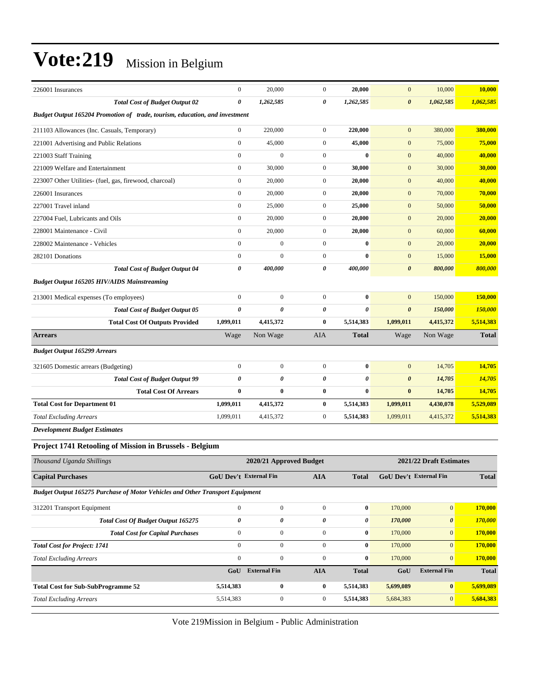| 226001 Insurances                                                             | $\mathbf{0}$          | 20,000                  | $\mathbf{0}$     | 20,000                | $\mathbf{0}$           | 10,000                  | 10,000         |  |  |
|-------------------------------------------------------------------------------|-----------------------|-------------------------|------------------|-----------------------|------------------------|-------------------------|----------------|--|--|
| <b>Total Cost of Budget Output 02</b>                                         | $\boldsymbol{\theta}$ | 1,262,585               | 0                | 1,262,585             | $\boldsymbol{\theta}$  | 1,062,585               | 1,062,585      |  |  |
| Budget Output 165204 Promotion of trade, tourism, education, and investment   |                       |                         |                  |                       |                        |                         |                |  |  |
| 211103 Allowances (Inc. Casuals, Temporary)                                   | $\boldsymbol{0}$      | 220,000                 | $\boldsymbol{0}$ | 220,000               | $\mathbf{0}$           | 380,000                 | 380,000        |  |  |
| 221001 Advertising and Public Relations                                       | $\boldsymbol{0}$      | 45,000                  | $\mathbf{0}$     | 45,000                | $\mathbf{0}$           | 75,000                  | 75,000         |  |  |
| 221003 Staff Training                                                         | $\boldsymbol{0}$      | $\boldsymbol{0}$        | $\boldsymbol{0}$ | $\bf{0}$              | $\mathbf{0}$           | 40,000                  | 40,000         |  |  |
| 221009 Welfare and Entertainment                                              | $\mathbf{0}$          | 30,000                  | $\mathbf{0}$     | 30,000                | $\mathbf{0}$           | 30,000                  | 30,000         |  |  |
| 223007 Other Utilities- (fuel, gas, firewood, charcoal)                       | $\boldsymbol{0}$      | 20,000                  | $\mathbf{0}$     | 20,000                | $\mathbf{0}$           | 40,000                  | 40,000         |  |  |
| 226001 Insurances                                                             | $\mathbf{0}$          | 20,000                  | $\mathbf{0}$     | 20,000                | $\mathbf{0}$           | 70,000                  | 70,000         |  |  |
| 227001 Travel inland                                                          | $\boldsymbol{0}$      | 25,000                  | $\mathbf{0}$     | 25,000                | $\mathbf{0}$           | 50,000                  | 50,000         |  |  |
| 227004 Fuel, Lubricants and Oils                                              | $\boldsymbol{0}$      | 20,000                  | $\mathbf{0}$     | 20,000                | $\mathbf{0}$           | 20,000                  | 20,000         |  |  |
| 228001 Maintenance - Civil                                                    | $\mathbf{0}$          | 20,000                  | $\mathbf{0}$     | 20,000                | $\mathbf{0}$           | 60,000                  | 60,000         |  |  |
| 228002 Maintenance - Vehicles                                                 | $\boldsymbol{0}$      | $\mathbf{0}$            | $\boldsymbol{0}$ | $\bf{0}$              | $\mathbf{0}$           | 20,000                  | 20,000         |  |  |
| 282101 Donations                                                              | $\mathbf{0}$          | $\overline{0}$          | $\boldsymbol{0}$ | $\bf{0}$              | $\mathbf{0}$           | 15,000                  | 15,000         |  |  |
| <b>Total Cost of Budget Output 04</b>                                         | 0                     | 400,000                 | 0                | 400,000               | $\boldsymbol{\theta}$  | 800,000                 | 800,000        |  |  |
| <b>Budget Output 165205 HIV/AIDS Mainstreaming</b>                            |                       |                         |                  |                       |                        |                         |                |  |  |
| 213001 Medical expenses (To employees)                                        | $\boldsymbol{0}$      | $\boldsymbol{0}$        | $\overline{0}$   | $\bf{0}$              | $\mathbf{0}$           | 150,000                 | 150,000        |  |  |
| <b>Total Cost of Budget Output 05</b>                                         | $\boldsymbol{\theta}$ | $\theta$                | 0                | $\boldsymbol{\theta}$ | $\boldsymbol{\theta}$  | 150,000                 | 150,000        |  |  |
| <b>Total Cost Of Outputs Provided</b>                                         | 1,099,011             | 4,415,372               | 0                | 5,514,383             | 1,099,011              | 4,415,372               | 5,514,383      |  |  |
| <b>Arrears</b>                                                                | Wage                  | Non Wage                | <b>AIA</b>       | <b>Total</b>          | Wage                   | Non Wage                | <b>Total</b>   |  |  |
| <b>Budget Output 165299 Arrears</b>                                           |                       |                         |                  |                       |                        |                         |                |  |  |
| 321605 Domestic arrears (Budgeting)                                           | $\mathbf{0}$          | $\overline{0}$          | $\mathbf{0}$     | $\bf{0}$              | $\mathbf{0}$           | 14,705                  | 14,705         |  |  |
| <b>Total Cost of Budget Output 99</b>                                         | $\boldsymbol{\theta}$ | 0                       | 0                | $\boldsymbol{\theta}$ | $\boldsymbol{\theta}$  | 14,705                  | 14,705         |  |  |
| <b>Total Cost Of Arrears</b>                                                  | $\bf{0}$              | 0                       | 0                | $\bf{0}$              | $\bf{0}$               | 14,705                  | 14,705         |  |  |
| <b>Total Cost for Department 01</b>                                           | 1,099,011             | 4,415,372               | $\bf{0}$         | 5,514,383             | 1,099,011              | 4,430,078               | 5,529,089      |  |  |
| <b>Total Excluding Arrears</b>                                                | 1,099,011             | 4,415,372               | $\mathbf{0}$     | 5,514,383             | 1,099,011              | 4,415,372               | 5,514,383      |  |  |
| <b>Development Budget Estimates</b>                                           |                       |                         |                  |                       |                        |                         |                |  |  |
| <b>Project 1741 Retooling of Mission in Brussels - Belgium</b>                |                       |                         |                  |                       |                        |                         |                |  |  |
| Thousand Uganda Shillings                                                     |                       | 2020/21 Approved Budget |                  |                       |                        | 2021/22 Draft Estimates |                |  |  |
| <b>Capital Purchases</b>                                                      |                       | GoU Dev't External Fin  | <b>AIA</b>       | <b>Total</b>          | GoU Dev't External Fin |                         | Total          |  |  |
| Budget Output 165275 Purchase of Motor Vehicles and Other Transport Equipment |                       |                         |                  |                       |                        |                         |                |  |  |
| 312201 Transport Equipment                                                    | $\boldsymbol{0}$      | $\boldsymbol{0}$        | $\mathbf{0}$     | $\bf{0}$              | 170,000                | $\vert 0 \vert$         | 170,000        |  |  |
| Total Cost Of Budget Output 165275                                            | 0                     | 0                       | 0                | 0                     | 170,000                | $\boldsymbol{\theta}$   | 170,000        |  |  |
| <b>Total Cost for Capital Purchases</b>                                       | $\boldsymbol{0}$      | $\boldsymbol{0}$        | $\boldsymbol{0}$ | $\bf{0}$              | 170,000                | $\mathbf{0}$            | <b>170,000</b> |  |  |
| <b>Total Cost for Project: 1741</b>                                           | $\boldsymbol{0}$      | $\boldsymbol{0}$        | $\boldsymbol{0}$ | $\bf{0}$              | 170,000                | $\vert 0 \vert$         | 170,000        |  |  |
| <b>Total Excluding Arrears</b>                                                | $\boldsymbol{0}$      | $\boldsymbol{0}$        | $\boldsymbol{0}$ | $\bf{0}$              | 170,000                | $\mathbf{0}$            | 170,000        |  |  |
|                                                                               |                       | GoU External Fin        | <b>AIA</b>       | <b>Total</b>          | GoU                    | <b>External Fin</b>     | <b>Total</b>   |  |  |

Vote 219Mission in Belgium - Public Administration

**Total Cost for Sub-SubProgramme 52 5,514,383 0 0 5,514,383 5,699,089 0 5,699,089** *Total Excluding Arrears* 5,514,383 0 0 **5,514,383** 5,684,383 0 **5,684,383**